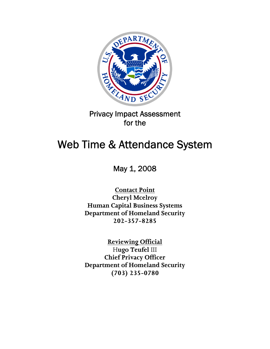

## Privacy Impact Assessment for the

# Web Time & Attendance System

May 1, 2008

**Contact Point Cheryl Mcelroy Human Capital Business Systems Department of Homeland Security 202-357-8285** 

> **Reviewing Official** H**ugo Teufel** III

**Chief Privacy Officer Department of Homeland Security (703) 235-0780**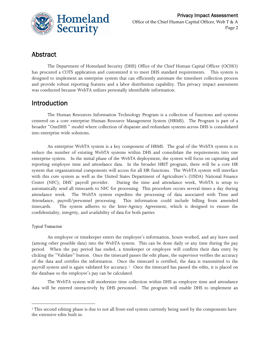

## Abstract

The Department of Homeland Security (DHS) Office of the Chief Human Capital Officer (OCHO) has procured a COTS application and customized it to meet DHS standard requirements. This system is designed to implement an enterprise system that can efficiently automate the timesheet collection process and provide robust reporting features and a labor distribution capability. This privacy impact assessment was conducted because WebTA utilizes personally identifiable information.

### Introduction

The Human Resources Information Technology Program is a collection of functions and systems centered on a core enterprise Human Resource Management System (HRMS). The Program is part of a broader "OneDHS " model where collection of disparate and redundant systems across DHS is consolidated into enterprise wide solutions.

An enterprise WebTA system is a key component of HRMS. The goal of the WebTA system is to reduce the number of existing WebTA systems within DHS and consolidate the requirements into one enterprise system. In the initial phase of the WebTA deployment, the system will focus on capturing and reporting employee time and attendance data. In the broader HRIT program, there will be a core HR system that organizational components will access for all HR functions. The WebTA system will interface with this core system as well as the United States Department of Agriculture's (USDA) National Finance Center (NFC), DHS' payroll provider. During the time and attendance week, WebTA is setup to automatically send all timecards to NFC for processing. This procedure occurs several times a day during attendance week. The WebTA system expedites the processing of data associated with Time and Attendance, payroll/personnel processing. This information could include billing from amended timecards. The system adheres to the Inter-Agency Agreement, which is designed to ensure the confidentiality, integrity, and availability of data for both parties

#### *Typical Transaction*

<u> 1989 - Johann Barn, mars eta bainar eta industrial eta bainar eta baina eta baina eta baina eta baina eta ba</u>

An employee or timekeeper enters the employee's information, hours worked, and any leave used (among other possible data) into the WebTA system. This can be done daily or any time during the pay period. When the pay period has ended, a timekeeper or employee will confirm their data entry by clicking the "Validate" button. Once the timecard passes the edit phase, the supervisor verifies the accuracy of the data and certifies the information. Once the timecard is certified, the data is transmitted to the payroll system and is again validated for accuracy.[1](#page-1-0) Once the timecard has passed the edits, it is placed on the database so the employee's pay can be calculated.

The WebTA system will modernize time collection within DHS as employee time and attendance data will be entered interactively by DHS personnel. The program will enable DHS to implement an

<span id="page-1-0"></span><sup>&</sup>lt;sup>1</sup> This second editing phase is due to not all front-end system currently being used by the components have the extensive edits built in.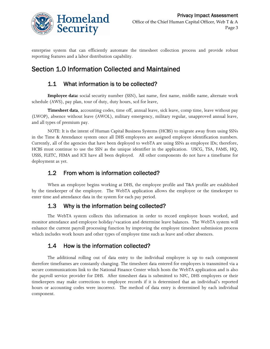

enterprise system that can efficiently automate the timesheet collection process and provide robust reporting features and a labor distribution capability.

## Section 1.0 Information Collected and Maintained

#### 1.1 What information is to be collected?

**Employee data:** social security number (SSN), last name, first name, middle name, alternate work schedule (AWS), pay plan, tour of duty, duty hours, scd for leave,

**Timesheet data**, accounting codes, time off, annual leave, sick leave, comp time, leave without pay (LWOP), absence without leave (AWOL), military emergency, military regular, unapproved annual leave, and all types of premium pay.

NOTE: It is the intent of Human Capital Business Systems (HCBS) to migrate away from using SSNs in the Time & Attendance system once all DHS employees are assigned employee identification numbers. Currently, all of the agencies that have been deployed to webTA are using SSNs as employee IDs; therefore, HCBS must continue to use the SSN as the unique identifier in the application. USCG, TSA, FAMS, HQ, USSS, FLETC, FEMA and ICE have all been deployed. All other components do not have a timeframe for deployment as yet.

#### 1.2 From whom is information collected?

When an employee begins working at DHS, the employee profile and T&A profile are established by the timekeeper of the employee. The WebTA application allows the employee or the timekeeper to enter time and attendance data in the system for each pay period.

#### 1.3 Why is the information being collected?

The WebTA system collects this information in order to record employee hours worked, and monitor attendance and employee holiday/vacation and determine leave balances. The WebTA system will enhance the current payroll processing function by improving the employee timesheet submission process which includes work hours and other types of employee time such as leave and other absences.

#### 1.4 How is the information collected?

The additional rolling out of data entry to the individual employee is up to each component therefore timeframes are constantly changing. The timesheet data entered for employees is transmitted via a secure communications link to the National Finance Center which hosts the WebTA application and is also the payroll service provider for DHS. After timesheet data is submitted to NFC, DHS employees or their timekeepers may make corrections to employee records if it is determined that an individual's reported hours or accounting codes were incorrect. The method of data entry is determined by each individual component.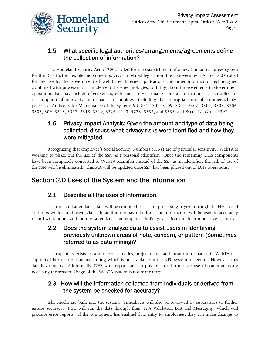

#### 1.5 What specific legal authorities/arrangements/agreements define the collection of information?

The [Homeland Security Act of 2002](http://thomas.loc.gov/cgi-bin/query/z?c107:h.r.5005.enr:) called for the establishment of a new human resources system for the DHS that is flexible and contemporary. In related legislation, the [E-Government Act of 2002](http://thomas.loc.gov/cgi-bin/query/z?c107:H.R.2458.ENR:) called for the use by the Government of web-based Internet applications and other information technologies, combined with processes that implement these technologies, to bring about improvements in Government operations that may include effectiveness, efficiency, service quality, or transformation. It also called for the adoption of innovative information technology, including the appropriate use of commercial best practices. Authority for Maintenance of the System: 5 U.S.C. 1302, 3109, 3301, 3302, 3304, 3305, 3306, 3307, 309, 3313, 3317, 3318, 3319, 3326, 4103, 4723, 5532, and 5533, and Executive Order 9397.

#### 1.6 Privacy Impact Analysis: Given the amount and type of data being collected, discuss what privacy risks were identified and how they were mitigated.

Recognizing that employee's Social Security Numbers (SSNs) are of particular sensitivity, WebTA is working to phase out the use of the SSN as a personal identifier. Once the remaining DHS components have been completely converted to WebTA identifier instead of the SSN as an identifier, the risk of use of the SSN will be eliminated. This PIA will be updated once SSN has been phased out of DHS operations.

## Section 2.0 Uses of the System and the Information

### 2.1 Describe all the uses of information.

The time and attendance data will be compiled for use in processing payroll through the NFC based on hours worked and leave taken. In addition to payroll efforts, the information will be used to accurately record work hours, and monitor attendance and employee holiday/vacation and determine leave balances.

#### 2.2 Does the system analyze data to assist users in identifying previously unknown areas of note, concern, or pattern (Sometimes referred to as data mining)?

The capability exists to capture project codes, project name, and locator information in WebTA that supports labor distribution accounting which is not available in the NFC system of record. However, this data is voluntary. Additionally, DHS wide reports are not possible at this time because all components are not using the system. Usage of the WebTA system is not mandatory.

#### 2.3 How will the information collected from individuals or derived from the system be checked for accuracy?

Edit checks are built into the system. Timesheets will also be reviewed by supervisors to further ensure accuracy. NFC will run the data through their T&A Validation Edit and Messaging, which will produce error reports. If the component has enabled data entry to employees, they can make changes to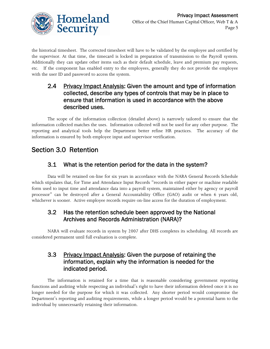

the historical timesheet. The corrected timesheet will have to be validated by the employee and certified by the supervisor. At that time, the timecard is locked in preparation of transmission to the Payroll system. Additionally they can update other items such as their default schedule, leave and premium pay requests, etc. If the component has enabled entry to the employees, generally they do not provide the employee with the user ID and password to access the system.

#### 2.4 Privacy Impact Analysis: Given the amount and type of information collected, describe any types of controls that may be in place to ensure that information is used in accordance with the above described uses.

The scope of the information collection (detailed above) is narrowly tailored to ensure that the information collected matches the uses. Information collected will not be used for any other purpose. The reporting and analytical tools help the Department better refine HR practices. The accuracy of the information is ensured by both employee input and supervisor verification.

## Section 3.0 Retention

### 3.1 What is the retention period for the data in the system?

Data will be retained on-line for six years in accordance with the NARA General Records Schedule which stipulates that, for Time and Attendance Input Records "records in either paper or machine readable form used to input time and attendance data into a payroll system, maintained either by agency or payroll processor" can be destroyed after a General Accountability Office (GAO) audit or when 6 years old, whichever is sooner. Active employee records require on-line access for the duration of employment.

#### 3.2 Has the retention schedule been approved by the National Archives and Records Administration (NARA)?

NARA will evaluate records in system by 2007 after DHS completes its scheduling. All records are considered permanent until full evaluation is complete.

#### 3.3 Privacy Impact Analysis: Given the purpose of retaining the information, explain why the information is needed for the indicated period.

The information is retained for a time that is reasonable considering government reporting functions and auditing while respecting an individual's right to have their information deleted once it is no longer needed for the purpose for which it was collected. Any shorter period would compromise the Department's reporting and auditing requirements, while a longer period would be a potential harm to the individual by unnecessarily retaining their information.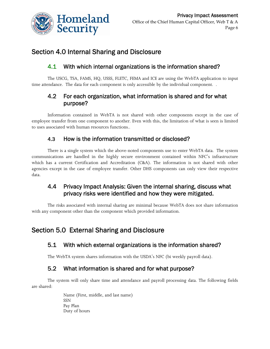

## Section 4.0 Internal Sharing and Disclosure

#### 4.1 With which internal organizations is the information shared?

The USCG, TSA, FAMS, HQ, USSS, FLETC, FEMA and ICE are using the WebTA application to input time attendance. The data for each component is only accessible by the individual component. .

#### 4.2 For each organization, what information is shared and for what purpose?

Information contained in WebTA is not shared with other components except in the case of employee transfer from one component to another. Even with this, the limitation of what is seen is limited to uses associated with human resources functions..

#### 4.3 How is the information transmitted or disclosed?

There is a single system which the above-noted components use to enter WebTA data. The system communications are handled in the highly secure environment contained within NFC's infrastructure which has a current Certification and Accreditation (C&A). The information is not shared with other agencies except in the case of employee transfer. Other DHS components can only view their respective data.

#### 4.4 Privacy Impact Analysis: Given the internal sharing, discuss what privacy risks were identified and how they were mitigated.

The risks associated with internal sharing are minimal because WebTA does not share information with any component other than the component which provided information.

## Section 5.0 External Sharing and Disclosure

#### 5.1 With which external organizations is the information shared?

The WebTA system shares information with the USDA's NFC (bi weekly payroll data).

#### 5.2 What information is shared and for what purpose?

The system will only share time and attendance and payroll processing data. The following fields are shared:

> Name (First, middle, and last name) SSN Pay Plan Duty of hours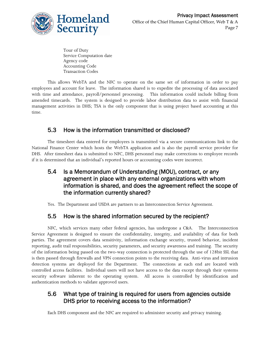

Tour of Duty Service Computation date Agency code Accounting Code Transaction Codes

This allows WebTA and the NFC to operate on the same set of information in order to pay employees and account for leave. The information shared is to expedite the processing of data associated with time and attendance, payroll/personnel processing. This information could include billing from amended timecards. The system is designed to provide labor distribution data to assist with financial management activities in DHS; TSA is the only component that is using project based accounting at this time.

### 5.3 How is the information transmitted or disclosed?

The timesheet data entered for employees is transmitted via a secure communications link to the National Finance Center which hosts the WebTA application and is also the payroll service provider for DHS. After timesheet data is submitted to NFC, DHS personnel may make corrections to employee records if it is determined that an individual's reported hours or accounting codes were incorrect.

#### 5.4 Is a Memorandum of Understanding (MOU), contract, or any agreement in place with any external organizations with whom information is shared, and does the agreement reflect the scope of the information currently shared?

Yes. The Department and USDA are partners to an Interconnection Service Agreement.

## 5.5 How is the shared information secured by the recipient?

NFC, which services many other federal agencies, has undergone a C&A. The Interconnection Service Agreement is designed to ensure the confidentiality, integrity, and availability of data for both parties. The agreement covers data sensitivity, information exchange security, trusted behavior, incident reporting, audit trail responsibilities, security parameters, and security awareness and training. The security of the information being passed on the two-way connection is protected through the use of 128bit SSL that is then passed through firewalls and VPN connection points to the receiving data. Anti-virus and intrusion detection systems are deployed for the Department. The connections at each end are located with controlled access facilities. Individual users will not have access to the data except through their systems security software inherent to the operating system. All access is controlled by identification and authentication methods to validate approved users.

#### 5.6 What type of training is required for users from agencies outside DHS prior to receiving access to the information?

Each DHS component and the NFC are required to administer security and privacy training.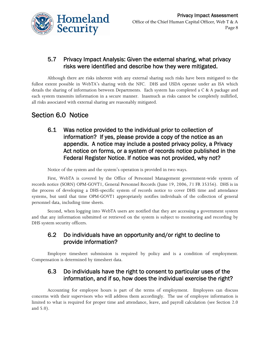

#### 5.7 Privacy Impact Analysis: Given the external sharing, what privacy risks were identified and describe how they were mitigated.

Although there are risks inherent with any external sharing such risks have been mitigated to the fullest extent possible in WebTA's sharing with the NFC. DHS and USDA operate under an ISA which details the sharing of information between Departments. Each system has completed a C & A package and each system transmits information in a secure manner. Inasmuch as risks cannot be completely nullified, all risks associated with external sharing are reasonably mitigated.

## Section 6.0 Notice

6.1 Was notice provided to the individual prior to collection of information? If yes, please provide a copy of the notice as an appendix. A notice may include a posted privacy policy, a Privacy Act notice on forms, or a system of records notice published in the Federal Register Notice. If notice was not provided, why not?

Notice of the system and the system's operation is provided in two ways.

First, WebTA is covered by the Office of Personnel Management government-wide system of records notice (SORN) OPM-GOVT1, General Personnel Records (June 19, 2006, 71 FR 35356). DHS is in the process of developing a DHS-specific system of records notice to cover DHS time and attendance systems, but until that time OPM-GOVT1 appropriately notifies individuals of the collection of general personnel data, including time sheets.

Second, when logging into WebTA users are notified that they are accessing a government system and that any information submitted or retrieved on the system is subject to monitoring and recording by DHS system security officers.

#### 6.2 Do individuals have an opportunity and/or right to decline to provide information?

Employee timesheet submission is required by policy and is a condition of employment. Compensation is determined by timesheet data.

#### 6.3 Do individuals have the right to consent to particular uses of the information, and if so, how does the individual exercise the right?

Accounting for employee hours is part of the terms of employment. Employees can discuss concerns with their supervisors who will address them accordingly. The use of employee information is limited to what is required for proper time and attendance, leave, and payroll calculation (see Section 2.0 and 5.0).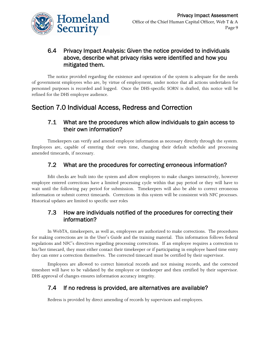

#### 6.4 Privacy Impact Analysis: Given the notice provided to individuals above, describe what privacy risks were identified and how you mitigated them.

The notice provided regarding the existence and operation of the system is adequate for the needs of government employees who are, by virtue of employment, under notice that all actions undertaken for personnel purposes is recorded and logged. Once the DHS-specific SORN is drafted, this notice will be refined for the DHS employee audience.

## Section 7.0 Individual Access, Redress and Correction

#### 7.1 What are the procedures which allow individuals to gain access to their own information?

Timekeepers can verify and amend employee information as necessary directly through the system. Employees are, capable of entering their own time, changing their default schedule and processing amended timecards, if necessary.

#### 7.2 What are the procedures for correcting erroneous information?

Edit checks are built into the system and allow employees to make changes interactively, however employee entered corrections have a limited processing cycle within that pay period or they will have to wait until the following pay period for submission. Timekeepers will also be able to correct erroneous information or submit correct timecards. Corrections in this system will be consistent with NFC processes. Historical updates are limited to specific user roles

#### 7.3 How are individuals notified of the procedures for correcting their information?

In WebTA, timekeepers, as well as, employees are authorized to make corrections. The procedures for making corrections are in the User's Guide and the training material. This information follows federal regulations and NFC's directives regarding processing corrections. If an employee requires a correction to his/her timecard, they must either contact their timekeeper or if participating in employee based time entry they can enter a correction themselves. The corrected timecard must be certified by their supervisor.

Employees are allowed to correct historical records and not missing records, and the corrected timesheet will have to be validated by the employee or timekeeper and then certified by their supervisor. DHS approval of changes ensures information accuracy integrity.

#### 7.4 If no redress is provided, are alternatives are available?

Redress is provided by direct amending of records by supervisors and employees.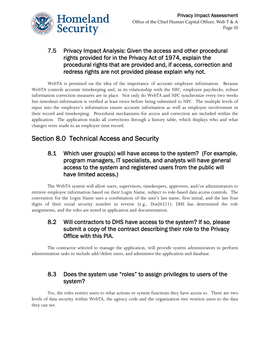

#### 7.5 Privacy Impact Analysis: Given the access and other procedural rights provided for in the Privacy Act of 1974, explain the procedural rights that are provided and, if access, correction and redress rights are not provided please explain why not.

WebTA is premised on the idea of the importance of accurate employee information. Because WebTA controls accurate timekeeping and, in its relationship with the NFC, employee paychecks, robust information correction measures are in place. Not only do WebTA and NFC synchronize every two weeks but timesheet information is verified at least twice before being submitted to NFC. The multiple levels of input into the employee's information ensure accurate information as well as employee involvement in their record and timekeeping. Procedural mechanisms for access and correction are included within the application. The application tracks all corrections through a history table, which displays who and what changes were made to an employee time record.

## Section 8.0 Technical Access and Security

#### 8.1 Which user group(s) will have access to the system? (For example, program managers, IT specialists, and analysts will have general access to the system and registered users from the public will have limited access.)

The WebTA system will allow users, supervisors, timekeepers, approvers, and/or administrators to retrieve employee information based on their Login Name, subject to role-based data access controls. The convention for the Login Name uses a combination of the user's last name, first initial, and the last four digits of their social security number in reverse (e.g., DoeJ4321). DHS has determined the role assignments, and the roles are noted in application and documentation.

#### 8.2 Will contractors to DHS have access to the system? If so, please submit a copy of the contract describing their role to the Privacy Office with this PIA.

The contractor selected to manage the application, will provide system administrators to perform administration tasks to include add/delete users, and administer the application and database.

#### 8.3 Does the system use "roles" to assign privileges to users of the system?

Yes, the roles restrict users to what actions or system functions they have access to. There are two levels of data security within WebTA, the agency code and the organization tree restricts users to the data they can see.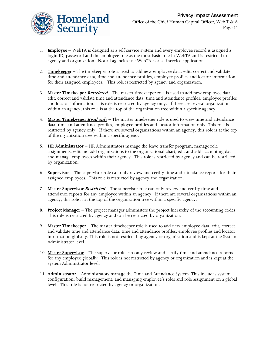

- 1. **Employee** WebTA is designed as a self service system and every employee record is assigned a login ID, password and the employee role as the most basic role in WebTA and is restricted to agency and organization. Not all agencies use WebTA as a self service application.
- 2. **Timekeeper** The timekeeper role is used to add new employee data, edit, correct and validate time and attendance data, time and attendance profiles, employee profiles and locator information for their assigned employees. This role is restricted by agency and organization.
- 3. **Master Timekeeper Restricted** The master timekeeper role is used to add new employee data, edit, correct and validate time and attendance data, time and attendance profiles, employee profiles and locator information. This role is restricted by agency only. If there are several organizations within an agency, this role is at the top of the organization tree within a specific agency.
- 4. **Master Timekeeper Read only** The master timekeeper role is used to view time and attendance data, time and attendance profiles, employee profiles and locator information only. This role is restricted by agency only. If there are several organizations within an agency, this role is at the top of the organization tree within a specific agency.
- 5. **HR Administrator** HR Administrators manage the leave transfer program, manage role assignments, edit and add organizations to the organizational chart, edit and add accounting data and manage employees within their agency. This role is restricted by agency and can be restricted by organization.
- 6. **Supervisor** The supervisor role can only review and certify time and attendance reports for their assigned employees. This role is restricted by agency and organization.
- 7. **Master Supervisor Restricted** The supervisor role can only review and certify time and attendance reports for any employee within an agency. If there are several organizations within an agency, this role is at the top of the organization tree within a specific agency.
- 8. **Project Manager** The project manager administers the project hierarchy of the accounting codes. This role is restricted by agency and can be restricted by organization.
- 9. **Master Timekeeper** The master timekeeper role is used to add new employee data, edit, correct and validate time and attendance data, time and attendance profiles, employee profiles and locator information globally. This role is not restricted by agency or organization and is kept at the System Administrator level.
- 10. **Master Supervisor** The supervisor role can only review and certify time and attendance reports for any employee globally. This role is not restricted by agency or organization and is kept at the System Administrator level.
- 11. **Administrator** Administrators manage the Time and Attendance System. This includes system configuration, build management, and managing employee's roles and role assignment on a global level. This role is not restricted by agency or organization.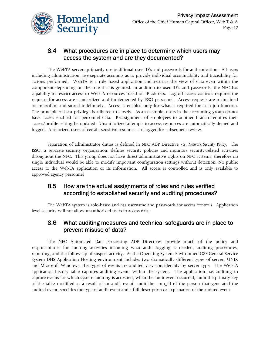

#### 8.4 What procedures are in place to determine which users may access the system and are they documented?

The WebTA servers primarily use traditional user ID's and passwords for authentication. All users including administration, use separate accounts as to provide individual accountability and traceability for actions performed. WebTA is a role based application and restricts the view of data even within the component depending on the role that is granted. In addition to user ID's and passwords, the NFC has capability to restrict access to WebTA resources based on IP address. Logical access controls requires the requests for access are standardized and implemented by ISSO personnel. Access requests are maintained on microfilm and stored indefinitely. Access is enabled only for what is required for each job function. The principle of least privilege is adhered to closely. As an example, users in the accounting group do not have access enabled for personnel data. Reassignment of employees to another branch requires their access/profile setting be updated. Unauthorized attempts to access resources are automatically denied and logged. Authorized users of certain sensitive resources are logged for subsequent review.

Separation of administrator duties is defined in NFC ADP Directive 75, *Network Security Policy*. The ISSO, a separate security organization, defines security policies and monitors security-related activities throughout the NFC. This group does not have direct administrative rights on NFC systems; therefore no single individual would be able to modify important configuration settings without detection. No public access to the WebTA application or its information. All access is controlled and is only available to approved agency personnel

#### 8.5 How are the actual assignments of roles and rules verified according to established security and auditing procedures?

The WebTA system is role-based and has username and passwords for access controls. Application level security will not allow unauthorized users to access data.

#### 8.6 What auditing measures and technical safeguards are in place to prevent misuse of data?

The NFC Automated Data Processing ADP Directives provide much of the policy and responsibilities for auditing activities including what audit logging is needed, auditing procedures, reporting, and the follow-up of suspect activity. As the Operating System EnvironmentOSE General Service System DHS Application Hosting environment includes two dramatically different types of servers UNIX and Microsoft Windows, the types of events are audited vary considerably by server type. The WebTA application history table captures auditing events within the system. The application has auditing to capture events for which system auditing is activated, when the audit event occurred, audit the primary key of the table modified as a result of an audit event, audit the emp\_id of the person that generated the audited event, specifies the type of audit event and a full description or explanation of the audited event.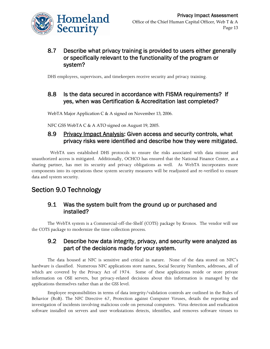

#### 8.7 Describe what privacy training is provided to users either generally or specifically relevant to the functionality of the program or system?

DHS employees, supervisors, and timekeepers receive security and privacy training.

#### 8.8 Is the data secured in accordance with FISMA requirements? If yes, when was Certification & Accreditation last completed?

WebTA Major Application C & A signed on November 13, 2006.

NFC GSS WebTA C & A ATO signed on August 19, 2005.

#### 8.9 Privacy Impact Analysis: Given access and security controls, what privacy risks were identified and describe how they were mitigated.

 WebTA uses established DHS protocols to ensure the risks associated with data misuse and unauthorized access is mitigated. Additionally, OCHCO has ensured that the National Finance Center, as a sharing partner, has met its security and privacy obligations as well. As WebTA incorporates more components into its operations these system security measures will be readjusted and re-verified to ensure data and system security.

## Section 9.0 Technology

#### 9.1 Was the system built from the ground up or purchased and installed?

The WebTA system is a Commercial-off-the-Shelf (COTS) package by Kronos. The vendor will use the COTS package to modernize the time collection process.

#### 9.2 Describe how data integrity, privacy, and security were analyzed as part of the decisions made for your system.

The data housed at NFC is sensitive and critical in nature. None of the data stored on NFC's hardware is classified. Numerous NFC applications store names, Social Security Numbers, addresses, all of which are covered by the Privacy Act of 1974. Some of these applications reside or store private information on OSE servers, but privacy-related decisions about this information is managed by the applications themselves rather than at the GSS level.

Employee responsibilities in terms of data integrity/validation controls are outlined in the Rules of Behavior (RoB). The NFC Directive 67, Protection against Computer Viruses, details the reporting and investigation of incidents involving malicious code on personal computers. Virus detection and eradication software installed on servers and user workstations detects, identifies, and removes software viruses to